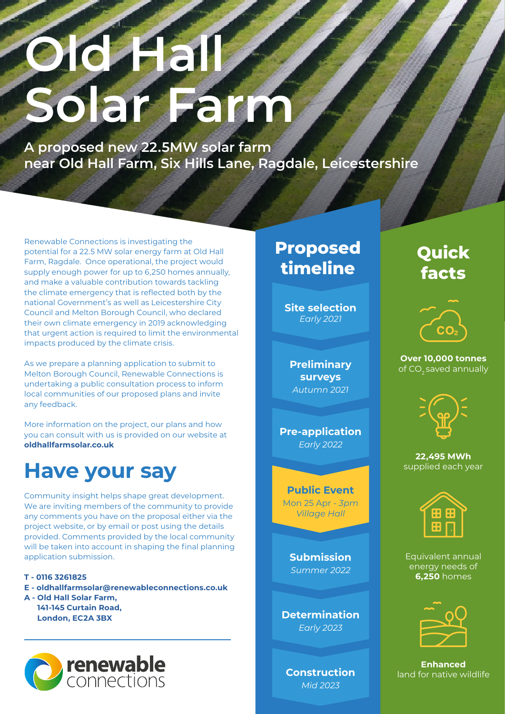# **Old Hall Solar Farm**

**A proposed new 22.5MW solar farm near Old Hall Farm, Six Hills Lane, Ragdale, Leicestershire**

Renewable Connections is investigating the potential for a 22.5 MW solar energy farm at Old Hall Farm, Ragdale. Once operational, the project would supply enough power for up to 6,250 homes annually, and make a valuable contribution towards tackling the climate emergency that is reflected both by the national Government's as well as Leicestershire City Council and Melton Borough Council, who declared their own climate emergency in 2019 acknowledging that urgent action is required to limit the environmental impacts produced by the climate crisis.

As we prepare a planning application to submit to Melton Borough Council, Renewable Connections is undertaking a public consultation process to inform local communities of our proposed plans and invite any feedback.

More information on the project, our plans and how you can consult with us is provided on our website at **oldhallfarmsolar.co.uk**

## **Have your say**

Community insight helps shape great development. We are inviting members of the community to provide any comments you have on the proposal either via the project website, or by email or post using the details provided. Comments provided by the local community will be taken into account in shaping the final planning application submission.

**T - 0116 3261825**

**E - oldhallfarmsolar@renewableconnections.co.uk**

**A - Old Hall Solar Farm, 141-145 Curtain Road, London, EC2A 3BX**



## **Proposed timeline**

**Site selection** *Early 2021*

**Preliminary surveys** *Autumn 2021*

**Pre-application**  *Early 2022*

**Public Event**  Mon 25 Apr *- 3pm Village Hall*

> **Submission**  *Summer 2022*

**Determination** *Early 2023*

**Construction** *Mid 2023*

## **Quick facts**



**Over 10,000 tonnes**  of CO<sub>2</sub> saved annually



**22,495 MWh**  supplied each year



Equivalent annual energy needs of **6,250** homes



**Enhanced**  land for native wildlife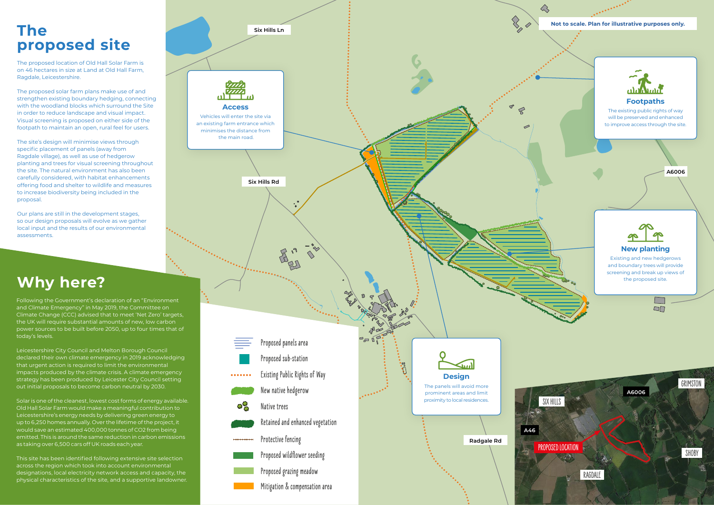

## **proposed site**

The proposed location of Old Hall Solar Farm is on 46 hectares in size at Land at Old Hall Farm, Ragdale, Leicestershire.

The proposed solar farm plans make use of and strengthen existing boundary hedging, connecting with the woodland blocks which surround the Site in order to reduce landscape and visual impact. Visual screening is proposed on either side of the footpath to maintain an open, rural feel for users.

The site's design will minimise views through specific placement of panels (away from Ragdale village), as well as use of hedgerow planting and trees for visual screening throughout the site. The natural environment has also been carefully considered, with habitat enhancements offering food and shelter to wildlife and measures to increase biodiversity being included in the proposal.

Our plans are still in the development stages, so our design proposals will evolve as we gather local input and the results of our environmental assessments.

## **Why here?**

Following the Government's declaration of an "Environment and Climate Emergency" in May 2019, the Committee on Climate Change (CCC) advised that to meet 'Net Zero' targets, the UK will require substantial amounts of new, low carbon power sources to be built before 2050, up to four times that of today's levels.

Leicestershire City Council and Melton Borough Council declared their own climate emergency in 2019 acknowledging that urgent action is required to limit the environmental impacts produced by the climate crisis. A climate emergency strategy has been produced by Leicester City Council setting out initial proposals to become carbon neutral by 2030.

Solar is one of the cleanest, lowest cost forms of energy available. Old Hall Solar Farm would make a meaningful contribution to Leicestershire's energy needs by delivering green energy to up to 6,250 homes annually. Over the lifetime of the project, it would save an estimated 400,000 tonnes of CO2 from being emitted. This is around the same reduction in carbon emissions as taking over 6,500 cars off UK roads each year.

This site has been identified following extensive site selection across the region which took into account environmental designations, local electricity network access and capacity, the